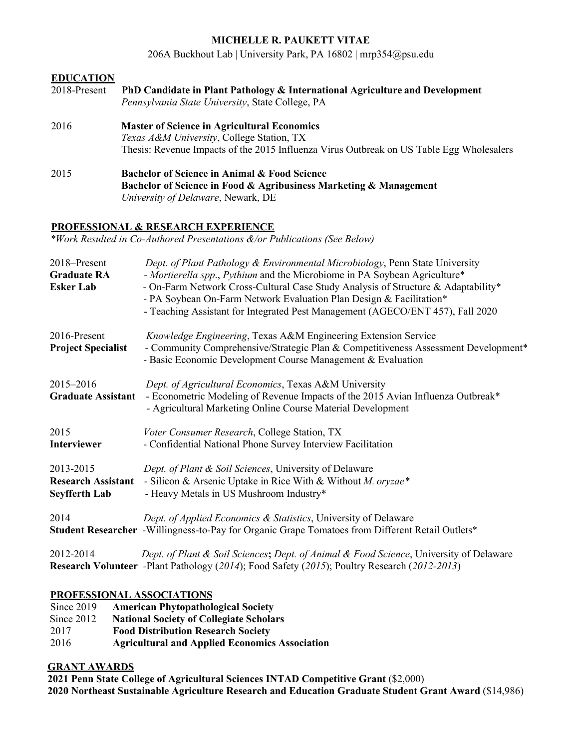## **MICHELLE R. PAUKETT VITAE**

206A Buckhout Lab | University Park, PA 16802 [| mrp354@psu.edu](mailto:mrp354@psu.edu)

| <b>EDUCATION</b> |                                                                                                                                                                                             |
|------------------|---------------------------------------------------------------------------------------------------------------------------------------------------------------------------------------------|
| 2018-Present     | PhD Candidate in Plant Pathology & International Agriculture and Development<br>Pennsylvania State University, State College, PA                                                            |
| 2016             | <b>Master of Science in Agricultural Economics</b><br>Texas A&M University, College Station, TX<br>Thesis: Revenue Impacts of the 2015 Influenza Virus Outbreak on US Table Egg Wholesalers |
| 2015             | <b>Bachelor of Science in Animal &amp; Food Science</b><br>Bachelor of Science in Food & Agribusiness Marketing & Management<br>University of Delaware, Newark, DE                          |

## **PROFESSIONAL & RESEARCH EXPERIENCE**

*\*Work Resulted in Co-Authored Presentations &/or Publications (See Below)*

| 2018-Present<br><b>Graduate RA</b><br><b>Esker Lab</b>         | Dept. of Plant Pathology & Environmental Microbiology, Penn State University<br>- Mortierella spp., Pythium and the Microbiome in PA Soybean Agriculture*<br>- On-Farm Network Cross-Cultural Case Study Analysis of Structure & Adaptability*<br>- PA Soybean On-Farm Network Evaluation Plan Design & Facilitation*<br>- Teaching Assistant for Integrated Pest Management (AGECO/ENT 457), Fall 2020 |
|----------------------------------------------------------------|---------------------------------------------------------------------------------------------------------------------------------------------------------------------------------------------------------------------------------------------------------------------------------------------------------------------------------------------------------------------------------------------------------|
| 2016-Present<br><b>Project Specialist</b>                      | Knowledge Engineering, Texas A&M Engineering Extension Service<br>- Community Comprehensive/Strategic Plan & Competitiveness Assessment Development*<br>- Basic Economic Development Course Management & Evaluation                                                                                                                                                                                     |
| 2015-2016<br><b>Graduate Assistant</b>                         | Dept. of Agricultural Economics, Texas A&M University<br>- Econometric Modeling of Revenue Impacts of the 2015 Avian Influenza Outbreak*<br>- Agricultural Marketing Online Course Material Development                                                                                                                                                                                                 |
| 2015<br>Interviewer                                            | Voter Consumer Research, College Station, TX<br>- Confidential National Phone Survey Interview Facilitation                                                                                                                                                                                                                                                                                             |
| 2013-2015<br><b>Research Assistant</b><br><b>Seyfferth Lab</b> | Dept. of Plant & Soil Sciences, University of Delaware<br>- Silicon & Arsenic Uptake in Rice With & Without M. oryzae*<br>- Heavy Metals in US Mushroom Industry*                                                                                                                                                                                                                                       |
| 2014                                                           | Dept. of Applied Economics & Statistics, University of Delaware<br>Student Researcher -Willingness-to-Pay for Organic Grape Tomatoes from Different Retail Outlets*                                                                                                                                                                                                                                     |
| 2012-2014                                                      | Dept. of Plant & Soil Sciences; Dept. of Animal & Food Science, University of Delaware<br>Research Volunteer -Plant Pathology (2014); Food Safety (2015); Poultry Research (2012-2013)                                                                                                                                                                                                                  |

# **PROFESSIONAL ASSOCIATIONS**

| Since $2019$ | <b>American Phytopathological Society</b>             |
|--------------|-------------------------------------------------------|
| Since $2012$ | <b>National Society of Collegiate Scholars</b>        |
| 2017         | <b>Food Distribution Research Society</b>             |
| 2016         | <b>Agricultural and Applied Economics Association</b> |

# **GRANT AWARDS**

**2021 Penn State College of Agricultural Sciences INTAD Competitive Grant** (\$2,000) **2020 Northeast Sustainable Agriculture Research and Education Graduate Student Grant Award** (\$14,986)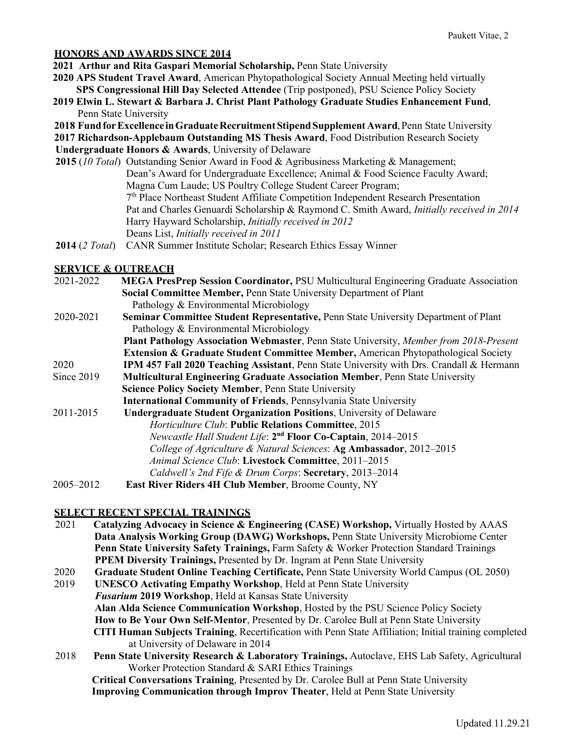#### **HONORS AND AWARDS SINCE 2014**

- **2021 Arthur and Rita Gaspari Memorial Scholarship,** Penn State University
- **2020 APS Student Travel Award**, American Phytopathological Society Annual Meeting held virtually  **SPS Congressional Hill Day Selected Attendee** (Trip postponed), PSU Science Policy Society
- **2019 Elwin L. Stewart & Barbara J. Christ Plant Pathology Graduate Studies Enhancement Fund**, Penn State University
- **2018** Fund for Excellence in Graduate Recruitment Stipend Supplement Award, Penn State University

**2017 Richardson-Applebaum Outstanding MS Thesis Award**, Food Distribution Research Society

 **Undergraduate Honors & Awards**, University of Delaware

- **2015** (*10 Total*) Outstanding Senior Award in Food & Agribusiness Marketing & Management; Dean's Award for Undergraduate Excellence; Animal & Food Science Faculty Award; Magna Cum Laude; US Poultry College Student Career Program; 7th Place Northeast Student Affiliate Competition Independent Research Presentation Pat and Charles Genuardi Scholarship & Raymond C. Smith Award, *Initially received in 2014* Harry Hayward Scholarship, *Initially received in 2012* Deans List, *Initially received in 2011*
- **2014** (*2 Total*) CANR Summer Institute Scholar; Research Ethics Essay Winner

## **SERVICE & OUTREACH**

2021-2022 **MEGA PresPrep Session Coordinator,** PSU Multicultural Engineering Graduate Association  **Social Committee Member,** Penn State University Department of Plant Pathology & Environmental Microbiology 2020-2021 **Seminar Committee Student Representative,** Penn State University Department of Plant Pathology & Environmental Microbiology  **Plant Pathology Association Webmaster**, Penn State University, *Member from 2018-Present* **Extension & Graduate Student Committee Member,** American Phytopathological Society 2020 **IPM 457 Fall 2020 Teaching Assistant**, Penn State University with Drs. Crandall & Hermann Since 2019 **Multicultural Engineering Graduate Association Member**, Penn State University  **Science Policy Society Member**, Penn State University  **International Community of Friends**, Pennsylvania State University 2011-2015 **Undergraduate Student Organization Positions**, University of Delaware *Horticulture Club*: **Public Relations Committee**, 2015 *Newcastle Hall Student Life*: **2nd Floor Co-Captain**, 2014–2015 *College of Agriculture & Natural Sciences*: **Ag Ambassador**, 2012–2015 *Animal Science Club*: **Livestock Committee**, 2011–2015 *Caldwell's 2nd Fife & Drum Corps*: **Secretary**, 2013–2014 2005–2012 **East River Riders 4H Club Member**, Broome County, NY

## **SELECT RECENT SPECIAL TRAININGS**

- 2021 **Catalyzing Advocacy in Science & Engineering (CASE) Workshop,** Virtually Hosted by AAAS  **Data Analysis Working Group (DAWG) Workshops,** Penn State University Microbiome Center  **Penn State University Safety Trainings,** Farm Safety & Worker Protection Standard Trainings **PPEM Diversity Trainings,** Presented by Dr. Ingram at Penn State University 2020 **Graduate Student Online Teaching Certificate,** Penn State University World Campus (OL 2050)
- 2019 **UNESCO Activating Empathy Workshop**, Held at Penn State University *Fusarium* **2019 Workshop**, Held at Kansas State University  **Alan Alda Science Communication Workshop**, Hosted by the PSU Science Policy Society  **How to Be Your Own Self-Mentor**, Presented by Dr. Carolee Bull at Penn State University  **CITI Human Subjects Training**, Recertification with Penn State Affiliation; Initial training completed at University of Delaware in 2014
- 2018 **Penn State University Research & Laboratory Trainings,** Autoclave, EHS Lab Safety, Agricultural Worker Protection Standard & SARI Ethics Trainings

 **Critical Conversations Training**, Presented by Dr. Carolee Bull at Penn State University  **Improving Communication through Improv Theater**, Held at Penn State University